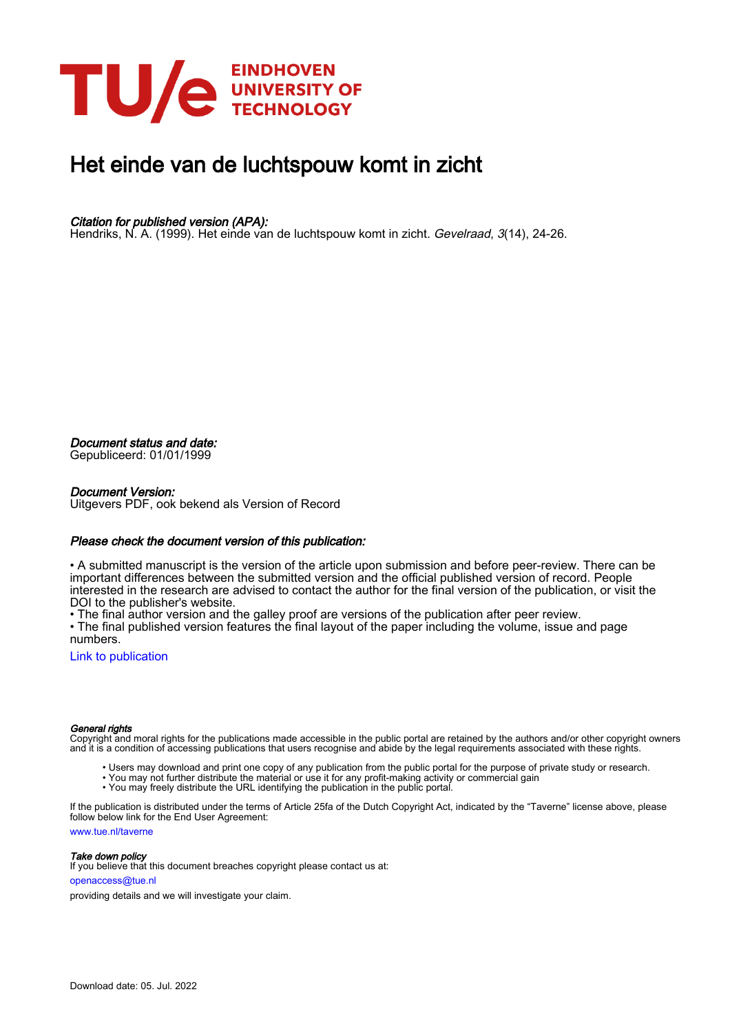

### Het einde van de luchtspouw komt in zicht

#### Citation for published version (APA):

Hendriks, N. A. (1999). Het einde van de luchtspouw komt in zicht. Gevelraad, 3(14), 24-26.

Document status and date:

Gepubliceerd: 01/01/1999

#### Document Version:

Uitgevers PDF, ook bekend als Version of Record

#### Please check the document version of this publication:

• A submitted manuscript is the version of the article upon submission and before peer-review. There can be important differences between the submitted version and the official published version of record. People interested in the research are advised to contact the author for the final version of the publication, or visit the DOI to the publisher's website.

• The final author version and the galley proof are versions of the publication after peer review.

• The final published version features the final layout of the paper including the volume, issue and page numbers.

[Link to publication](https://research.tue.nl/nl/publications/1621ddb9-c454-4909-8277-a80620aef493)

#### General rights

Copyright and moral rights for the publications made accessible in the public portal are retained by the authors and/or other copyright owners and it is a condition of accessing publications that users recognise and abide by the legal requirements associated with these rights.

- Users may download and print one copy of any publication from the public portal for the purpose of private study or research.
- You may not further distribute the material or use it for any profit-making activity or commercial gain
- You may freely distribute the URL identifying the publication in the public portal.

If the publication is distributed under the terms of Article 25fa of the Dutch Copyright Act, indicated by the "Taverne" license above, please follow below link for the End User Agreement:

www.tue.nl/taverne

**Take down policy**<br>If you believe that this document breaches copyright please contact us at:

openaccess@tue.nl

providing details and we will investigate your claim.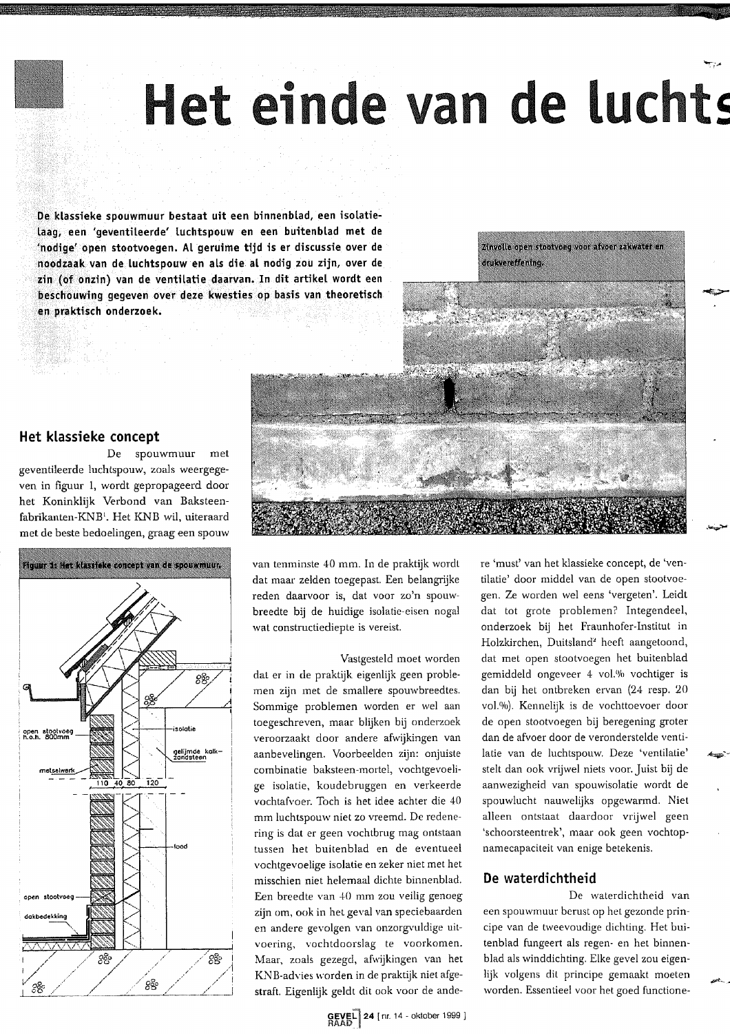## Het einde van de luchts

De klassieke spouwmuur bestaat uit een binnenblad, een isolatielaag, een 'geventileerde' luchtspouw en een buitenblad met de 'nodige' open stootvoegen. Al geruime tijd is er discussie over de noodzaak van de luchtspouw en als die al nodig zou zijn, over de zin (of onzin) van de ventilatie daarvan. In dit artikel wordt een beschouwing gegeven over deze kwesties op basis van theoretisch en praktisch onderzoek.



#### Het klassieke concept

De spouwmuur met geventileerde luchtspouw, zoals weergegeven in figuur 1, wordt gepropageerd door het Koninklijk Verbond van Baksteenfabrikanten-KNB<sup>1</sup>. Het KNB wil, uiteraard met de beste bedoelingen, graag een spouw



van tenminste 40 mm. In de praktijk wordt dat maar zelden toegepast. Een belangrijke reden daarvoor is, dat voor zo'n spouwbreedte bij de huidige isolatie-eisen nogal wat constructiediepte is vereist.

Vastgesteld moet worden dat er in de praktijk eigenlijk geen problemen zijn met de smallere spouwbreedtes. Sommige problemen worden er wel aan toegeschreven, maar blijken bij onderzoek veroorzaakt door andere afwijkingen van aanbevelingen. Voorbeelden zijn: onjuiste combinatie baksteen-mortel, vochtgevoelige isolatie, koudebruggen en verkeerde vochtafvoer. Toch is het idee achter die 40 mm luchtspouw niet zo vreemd. De redenering is dat er geen vochtbrug mag ontstaan tussen het buitenblad en de eventueel vochtgevoelige isolatie en zeker niet met het misschien niet helemaal dichte binnenblad. Een breedte van 40 mm zou veilig genoeg zijn om, ook in het geval van speciebaarden en andere gevolgen van onzorgvuldige uitvoering, vochtdoorslag te voorkomen. Maar, zoals gezegd, afwijkingen van het KNB-advies worden in de praktijk niet afgestraft. Eigenlijk geldt dit ook voor de ande-

GEVEL 24 [nr. 14 - oktober 1999 ]

re 'must' van het klassieke concept, de 'ventilatie' door middel van de open stootvoegen. Ze worden wel eens 'vergeten'. Leidt dat tot grote problemen? Integendeel, onderzoek bij het Fraunhofer-Institut in Holzkirchen, Duitsland<sup>2</sup> heeft aangetoond, dat met open stootvoegen het buitenblad gemiddeld ongeveer 4 vol.% vochtiger is dan bij het ontbreken ervan (24 resp. 20 vol.%). Kennelijk is de vochttoevoer door de open stootvoegen bij beregening groter dan de afvoer door de veronderstelde ventilatie van de luchtspouw. Deze 'ventilatie' stelt dan ook vrijwel niets voor. Juist bij de aanwezigheid van spouwisolatie wordt de spouwlucht nauwelijks opgewarmd. Niet alleen ontstaat daardoor vrijwel geen 'schoorsteentrek', maar ook geen vochtopnamecapaciteit van enige betekenis.

#### De waterdichtheid

De waterdichtheid van een spouwmuur berust op het gezonde principe van de tweevoudige dichting. Het buitenblad fungeert als regen- en het binnenblad als winddichting. Elke gevel zou eigenlijk volgens dit principe gemaakt moeten worden. Essentieel voor het goed functione-